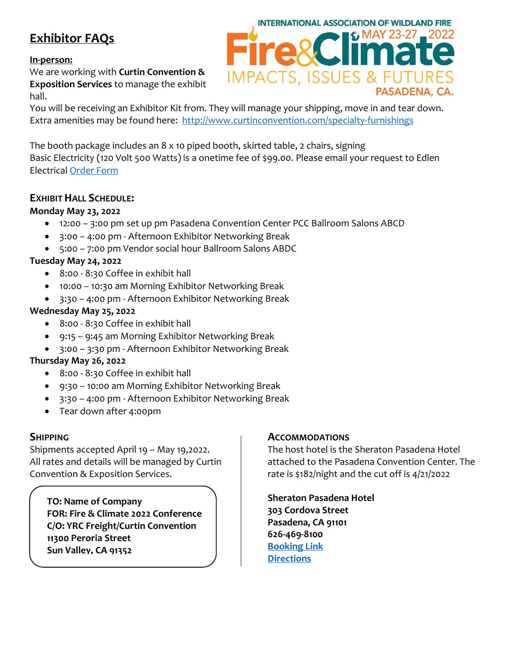# **Exhibitor FAQs**

#### **In-person:**

We are working with **Curtin Convention & Exposition Services** to manage the exhibit hall.



You will be receiving an Exhibitor Kit from. They will manage your shipping, move in and tear down. Extra amenities may be found here: <http://www.curtinconvention.com/specialty-furnishings>

The booth package includes an 8 x 10 piped booth, skirted table, 2 chairs, signing Basic Electricity (120 Volt 500 Watts) is a onetime fee of \$99.00. Please email your request to Edlen Electrical [Order Form](https://ordering.edlen.com/)

# **EXHIBIT HALL SCHEDULE:**

#### **Monday May 23, 2022**

- 12:00 3:00 pm set up pm Pasadena Convention Center PCC Ballroom Salons ABCD
- 3:00 4:00 pm Afternoon Exhibitor Networking Break
- 5:00 7:00 pm Vendor social hour Ballroom Salons ABDC

# **Tuesday May 24, 2022**

- 8:00 8:30 Coffee in exhibit hall
- 10:00 10:30 am Morning Exhibitor Networking Break
- 3:30 4:00 pm Afternoon Exhibitor Networking Break

#### **Wednesday May 25, 2022**

- 8:00 8:30 Coffee in exhibit hall
- 9:15 9:45 am Morning Exhibitor Networking Break
- 3:00 3:30 pm Afternoon Exhibitor Networking Break

# **Thursday May 26, 2022**

- 8:00 8:30 Coffee in exhibit hall
- 9:30 10:00 am Morning Exhibitor Networking Break
- 3:30 4:00 pm Afternoon Exhibitor Networking Break
- Tear down after 4:00pm

# **SHIPPING**

Shipments accepted April 19 – May 19,2022. All rates and details will be managed by Curtin Convention & Exposition Services.

**TO: Name of Company FOR: Fire & Climate 2022 Conference C/O: YRC Freight/Curtin Convention 11300 Peroria Street Sun Valley, CA 91352**

# **ACCOMMODATIONS**

The host hotel is the Sheraton Pasadena Hotel attached to the Pasadena Convention Center. The rate is \$182/night and the cut off is 4/21/2022

**Sheraton Pasadena Hotel 303 Cordova Street Pasadena, CA 91101 626-469-8100 [Booking Link](https://www.marriott.com/event-reservations/reservation-link.mi?id=1641936158383&key=GRP&app=resvlink) [Directions](https://www.google.com/maps/place/Sheraton+Pasadena+Hotel/@34.1434603,-118.1464098,17z/data=!3m1!4b1!4m8!3m7!1s0x80c2c365a12545f9:0xaf546dfcd1b573c1!5m2!4m1!1i2!8m2!3d34.1434603!4d-118.1442211)**